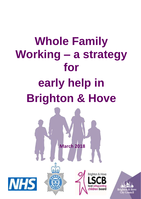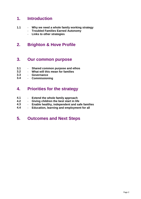## **1. Introduction**

- **1.1 Why we need a whole family working strategy**
	- **Troubled Families Earned Autonomy**
	- **Links to other strategies**

## **2. Brighton & Hove Profile**

## **3. Our common purpose**

- **3.1** - **Shared common purpose and ethos**
- **3.2** - **What will this mean for families**
- **3.3** - **Governance**
- **3.4** - **Commissioning**

## **4. Priorities for the strategy**

- **4.1** - **Extend the whole family approach**
- **4.2** - **Giving children the best start in life**
- **4.3** - **Enable healthy, independent and safe families**
- **4.4** - **Education, learning and employment for all**

## **5. Outcomes and Next Steps**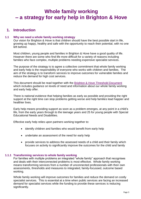## **Whole family working – a strategy for early help in Brighton & Hove**

## **1. Introduction**

#### **1.1 Why we need a whole family working strategy**

Our vision for Brighton & Hove is that children should have the best possible start in life, growing up happy, healthy and safe with the opportunity to reach their potential, with no one left behind.

Most children, young people and families in Brighton & Hove have a good quality of life. However there are some who find life more difficult for a variety of reasons including families who face complex, multiple problems needing expensive specialist services.

The purpose of the strategy is to agree a collective commitment that whole family working and early help is the responsibility of everyone who works with children and families. The aim of the strategy is to transform services to improve outcomes for vulnerable families and reduce the demand for high cost services.

This document should be read together with the Brighton & [Hove Threshold Document](http://brightonandhovelscb.org.uk/wp-content/uploads/Threshold-Document.pdf) which includes guidance on levels of need and information about our whole family working and early help offer.

There is national evidence that helping families as early as possible and providing the right support at the right time can stop problems getting worse and help families lead happier and healthier lives.

Early help means providing support as soon as a problem emerges, at any point in a child's life, from the early years through to the teenage years and 25 for young people with Special Educational Needs and Disabilities.

Effective early help relies upon partners working together to:

- identify children and families who would benefit from early help
- undertake an assessment of the need for early help
- provide services to address the assessed needs of a child and their family which focuses on activity to significantly improve the outcomes for the child and family

#### **1.1.1 Transforming services to whole family working**

For families with multiple problems an integrated "whole family" approach that recognises and deals with their interconnected problems is most effective. Whole family working means transforming services from a number of unconnected professionals with their own assessments, thresholds and measures to integrated, family-focussed, outcome based working.

Whole family working will improve outcomes for families and reduce the demand on costly specialist services. This is essential at a time when public services are facing an increased demand for specialist services while the funding to provide these services is reducing significantly.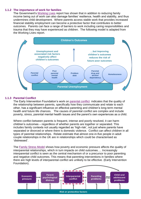#### **1.1.2 The importance of work for families**

The Government's [Working Lives](https://www.gov.uk/government/publications/improving-lives-helping-workless-families) report has shown that in addition to reducing family income being out of work can also damage families' resilience, health and stability, and thus undermines child development. Where parents access stable work that provides increased financial stability employment can become a protective factor that contributes to better outcomes. Parents can face a range of barriers to work including caring responsibilities and trauma that they may have experienced as children. The following model is adapted from the Working Lives report.



#### **1.1.3 Parental Conflict**

The Early Intervention Foundation's work on [parental conflict](http://www.eif.org.uk/publication/eif-commissioner-guide-reducing-the-impact-of-interparental-conflict-on-children/) indicates that the quality of the relationship between parents, specifically how they communicate and relate to each other, has a significant influence on effective parenting and children's long-term mental health and future life chances. The causes of parental conflict are complex and include poverty, stress, parental mental health issues and the parent's own experiences as a child.

Where conflict between parents is frequent, intense and poorly resolved, it can harm children's outcomes – regardless of whether parents are together or separated. This includes family contexts not usually regarded as 'high-risk', not just where parents have separated or divorced or where there is domestic violence. Conflict can affect children in all types of parental relationships. Relate estimate that almost one-in-five people in adult couple relationships in the UK are in relationships which could be characterised as 'distressed'.

The [Family Stress Model](http://www.eif.org.uk/wp-content/uploads/2017/09/CG-IPR_2-2_family-stress-model.pdf) shows how poverty and economic pressure affects the quality of interparental relationships, which in turn impacts on child outcomes…. Increasingly interparental conflict is seen as the central mechanism of or a precursor to poor parenting and negative child outcomes. This means that parenting interventions in families where there are high levels of interparental conflict are unlikely to be effective. (Early Intervention Foundation).

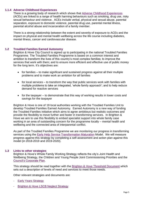#### **1.1.4 Adverse Childhood Experiences**

There is a growing body of research which shows that [Adverse Childhood Experiences](http://www.cph.org.uk/case-study/adverse-childhood-experiences-aces/) (ACEs) are linked to a range of health harming behaviours such as smoking, drug use, risky sexual behaviour and violence. ACEs include verbal, physical and sexual abuse, parental separation, exposure to domestic violence, parental drug use, parental mental illness, parental alcohol abuse and incarceration of a family member.

There is a strong relationship between the extent and severity of exposure to ACEs and the impact on physical and mental health wellbeing across the life course including diabetes, mental illness, cancer and cardiovascular disease.

#### **1.2 Troubled Families Earned Autonomy**

Brighton & Hove City Council is signed up to participating in the national Troubled Families Programme. The Troubled Families Programme is based on a common interest and ambition to transform the lives of this country's most complex families; to improve the services that work with them; and to ensure more efficient and effective use of public money for the long term. It's objectives are:

- for families to make significant and sustained progress against all their multiple problems and to make work an ambition for all families
- for local services to transform the way that public services work with families with multiple problems to take an integrated, 'whole family approach'; and to help reduce demand for reactive services
- for the taxpayer to demonstrate that this way of working results in lower costs and savings for the taxpayer

Brighton & Hove is one of 19 local authorities working with the Troubled Families Unit to develop Troubled Families Earned Autonomy. Earned Autonomy is a new way of funding the Troubled Families initiative which aims to agree ambitious but realistic outcomes and provide the flexibility to move further and faster in transforming services. In Brighton & Hove we aim to use this flexibility to embed specialist support into whole family case working in an area of outstanding concern for the programme locally – mental health and wellbeing and the connected area of interparental conflict.

As part of the Troubled Families Programme we are monitoring our progress in transforming services using the [Early Help Service Transformation Maturation](https://www.gov.uk/government/publications/troubled-families-early-help-service-transformation-maturity-model) Model. We will measure progress against this strategy by completing a self-assessment and action plan against this model (in 2018-2019 and 2019-2020).

#### **1.3 Links to other strategies**

Brighton & Hove's Whole Family Working Strategy reflects the city's Joint Health and Wellbeing Strategy, the Children and Young People Joint Commissioning Priorities and the [Council's Corporate Plan.](https://www.brighton-hove.gov.uk/content/council-and-democracy/about-your-council)

This strategy should be read together with the Brighton & [Hove Threshold Document](http://brightonandhovelscb.org.uk/wp-content/uploads/Threshold-Document.pdf) which sets out a description of levels of need and services to meet those needs.

Other relevant strategies and documents are:

- **[Early Years Strategy](https://www.brighton-hove.gov.uk/sites/brighton-hove.gov.uk/files/Early%20Years%20Strategy%202017-19%20Final_.pdf)**
- [Brighton & Hove LSCB Neglect Strategy](http://www.brightonandhovelscb.org.uk/your-lscbs-neglect-strategy/)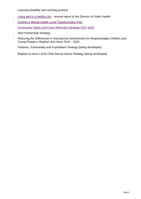- Learning disability joint working protocol
- [Living well in a healthy city](http://www.brighton-hove.gov.uk/sites/brighton-hove.gov.uk/files/Director%20of%20Public%20Health%20AR%202017%20%28PDF%209MB%29.pdf) annual report of the Director of Public Health
- [Children's Mental Health Local Transformation Plan](https://www.brightonandhoveccg.nhs.uk/children-and-young-people%E2%80%99s-mental-health-and-wellbeing-transformation-planning)
- [Community](https://www.safeinthecity.info/sites/safeinthecity.info/files/sitc/170726%20Brighton%20%26%20Hove%20Community%20Safety%20and%20Crime%20Reduction%20Strategy%202017-20_1.pdf) Safety and Crime Reduction Strategy 2017-2020
- SEN Partnership Strategy
- Reducing the Differences in Educational Achievement for Disadvantaged Children and Young People in Brighton and Hove 2016 – 2020
- Violence, Vulnerability and Exploitation Strategy (being developed)
- Brighton & Hove LSCB Child Sexual Abuse Strategy (being developed)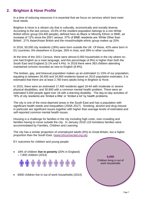## **2. Brighton & Hove Profile**

In a time of reducing resources it is essential that we focus on services which best meet local needs.

Brighton & Hove is a vibrant city that is culturally, economically and socially diverse. According to the last census, 19.5% of the resident population belongs to a non-White British ethnic group (53,400 people), defined here as Black or Minority Ethnic or BME, an increase of 12% since the 2001 census. 37% of BME residents are 'White Other than British', 21% Asian/Asian British and the mixed/multiple ethnic group makes up 20%.

In 2016, 50,000 city residents (18%) were born outside the UK. Of these, 42% were born in EU countries, 6% elsewhere in Europe, 26% in Asia, and 28% in other countries.

At the time of the 2011 Census, there were almost 6,000 households in the city where noone had English as a main language, and this percentage (4.9%) is higher than both the South East and England (3.1% and 4.4%). In 2018 there were 363 children attending maintained schools recorded as new to English (8.8%).

The lesbian, gay, and bisexual population makes up an estimated 11-15% of our population, equating to between 26,400 and 34,900 residents based on 2015 population estimates. It is estimated that there are at least 2,760 trans adults living in Brighton & Hove.

In 2015, there were an estimated 17,400 residents aged 18-64 with moderate or severe physical disabilities, and 30,900 with a common mental health problem. There were an estimated 5,500 people aged over 18 with a learning disability. The day-to-day activities of 16% of city residents are 'limited a little' or 'limited a lot' by health problems.

The city is one of the most deprived areas in the South East and has a population with significant health needs and inequalities (JSNA 2017). Smoking, alcohol and drug misuse in particular are significant issues together with higher than average levels of estimated and self-reported common mental health issues.

Housing is a challenge for families in the city including high costs, over-crowding and families having to move outside the city. In January 2018 116 homeless families were accommodated by Families, Children and Learning.

The city has a similar proportion of unemployed adults (6%) to Great Britain, but a higher proportion than the South East. [\(www.bhconnected.org.uk\)](http://www.bhconnected.org.uk/)

EY outcomes for children and young people:

 18% of children **live in poverty** (20% in England) – 7,800 children (2014)

# **. . . . . . . . . .** . . .

6000 children live in out of work households (2014)

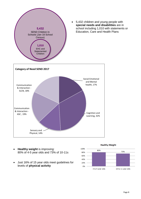

- **Healthy weight is improving:** 80% of 4-5 year olds and 73% of 10-11s
- Just 16% of 15 year olds meet guidelines for levels of **physical activity**

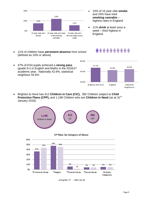

- 15% of 15 year olds **smoke** and 24% have tried **smoking cannabis** – highest rates in England
- 11% **drink** at least once a week – third highest in England
- 11% of children have **persistent absence** from school (defined as 10% or above)

## $\hat{\mathfrak{m}}\hat{\mathfrak{m}}\hat{\mathfrak{m}}\hat{\mathfrak{m}}\hat{\mathfrak{m}}\hat{\mathfrak{m}}\hat{\mathfrak{m}}\hat{\mathfrak{m}}\hat{\mathfrak{m}}\hat{\mathfrak{m}}\hat{\mathfrak{m}}$



- 47% of KS4 pupils achieved a **strong pass** (grade 5+) in English and Maths in the 2016/17 academic year. Nationally 42.6%, statistical neighbour 44.6%
- Brighton & Hove has 412 **Children in Care (CiC),** 382 Children subject to **Child Protection Plans (CPP), and 1,198 Children who are Children In Need (as at 31<sup>st</sup>)** January 2018)







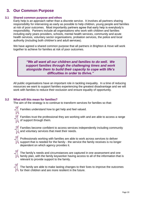## **3. Our Common Purpose**

#### **3.1 Shared common purpose and ethos**

Early help is an approach rather than a discrete service. It involves all partners sharing responsibility for intervening as early as possible to help children, young people and families at risk of poor outcomes. Most importantly partners agree that early help is everybody's responsibility. Partners include all organisations who work with children and families including early years providers, schools, mental health services, community and acute health services, voluntary sector organisations, probation services, the police and local authority (including both children's and adult services).

We have agreed a shared common purpose that all partners in Brighton & Hove will work together to achieve for families at risk of poor outcomes.

> *"We all want all our children and families to do well. We support families through the challenging times and work alongside them to build their capacity to cope with life's difficulties in order to thrive."*

All public organisations have an important role in tackling inequality. In a time of reducing resources we want to support families experiencing the greatest disadvantage and we will work with families to reduce their exclusion and ensure equality of opportunity.

#### **3.2 What will this mean for families?**

The aim of the strategy is to continue to transform services for families so that:



Families trust the professional they are working with and are able to access a range of support through them.



Families become confident to access services independently including community and voluntary services that meet their needs.



Professionals working with families are able to work across services to deliver support that is needed for the family - the service the family receives is no longer dependent on which agency provides it.



The family's needs and circumstances are captured in one assessment and one family plan, with the family keyworker having access to all of the information that is relevant to provide support to the family.



The family are able to make lasting changes to their lives to improve the outcomes for their children and are more resilient in the future.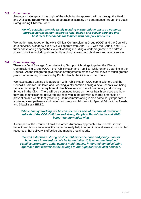#### **3.3 Governance**

Strategic challenge and oversight of the whole family approach will be through the Health and Wellbeing Board with continued operational scrutiny on performance through the Local Safeguarding Children Board.

#### *We will establish a whole family working partnership to ensure a common purpose across senior leaders to lead, design and deliver services that best meet local needs for families with complex problems.*

We are bringing together the city's Clinical Commissioning Group (CCG) and the Council's care services. A shadow executive will operate from April 2018 with the Council and CCG further developing approaches to joint working including a work programme to address shared priorities including whole family working across both children's and adult services.

#### **3.4 Commissioning**

There is a Joint Strategic Commissioning Group which brings together the Clinical Commissioning Group (CCG), the Public Health and Families, Children and Learning in the Council. As the integrated governance arrangements embed we will move to much greater joint commissioning of services by Public Health, the CCG and the Council.

We have started testing this approach with Public Health, CCG commissioners and the Council's Families, Children and Learning jointly commissioning a new Schools Wellbeing Service made up of Primary Mental Health Workers across all Secondary and Primary Schools in the City. There will be a continued focus on mental health services and how they are commissioned, delivered and received in the city with a shared emphasis on prevention and whole family working. Joint commissioning is also particularly important in achieving clear pathways and better outcomes for children with Special Educational Needs and Disabilities (SEND).

#### *Whole Family Working will be considered as part of the annual review and refresh of the CCG Children and Young People's Mental Health and Wellbeing Transformation Plan.*

A core part of the Troubled Families Earned Autonomy approach is to use robust cost benefit calculations to assess the impact of early help interventions and ensure, with limited resources, that delivery is effective and matches local needs.

*We will establish a strong cost benefit evidence base and jointly plan for how those interventions will be funded after 2020 when the Troubled Families programme ends, using a multi-agency, integrated commissioning approach that maximises the savings to our high cost specialist services.*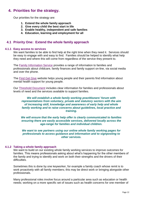## **4. Priorities for the strategy.**

Our priorities for the strategy are:

- **1. Extend the whole family approach**
- **2. Give every child the best start in life**
- **3. Enable healthy, independent and safe families**
- **4. Education, learning and employment for all**

#### **4.1 Priority One: Extend the whole family approach**

#### **4.1.1 Easy access to services**

We want families to be able to find help at the right time when they need it. Services should be easy to engage with and easy to find. Families should be helped to identify what help they need and where this will come from regardless of the service they present to.

The [Family Information Service](https://www.brighton-hove.gov.uk/content/children-and-education/childcare-and-family-support/family-information-service-fis) provides a range of information to families and professionals about childcare, family finances and family support on-line, via social media and over the phone.

The [Find Get Give](https://www.findgetgive.com/) website helps young people and their parents find information about mental health support for young people.

Our [Threshold Document](http://brightonandhovelscb.org.uk/wp-content/uploads/Threshold-Document.pdf) includes clear information for families and professionals about levels of need and the services available to support families.

#### *We will establish a whole family working practitioners' forum with representatives from voluntary, private and statutory sectors with the aim of increasing skill, knowledge and awareness of early help and whole family working and to raise concerns about guidelines, local practice and training.*

*We will ensure that the early help offer is clearly communicated to families ensuring there are easily accessible services, delivered locally across the age-range for families and individual children.* 

*We want to see partners using our online whole family working pages for professionals to access guidance and information and to signposting to other services.*

#### **4.1.2 Taking a whole family approach**

We want to build on our existing whole family working services to improve outcomes for families. This means professionals asking about what's happening for the other members of the family and trying to identify and work on both their strengths and the drivers of their difficulties.

Sometimes this is done by one keyworker, for example a family coach whose remit is to work proactively with all family members; this may be direct work or bringing alongside other professionals.

Many professional roles involve focus around a particular area such as education or health needs; working on a more specific set of issues such as health concerns for one member of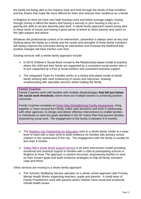the family but being alert to the impacts back and forth through the family of that condition and the drivers that make life more difficult for them and reduces their resilience as a family.

In Brighton & Hove we have very high housing costs and below average wages; having enough money to afford the basics and having a security in your housing is key as is gaining the skills to access decently paid work. A whole family approach means being alert to these kinds of issues and having a good sense of where to direct parents and carers to the right support and advice.

Whatever the professional context of an intervention, prevention is always seen as key and thinking about the family as a whole and the needs and strengths of those family members will always improve the outcomes during an intervention and increase the likelihood that positive changes will have traction over time.

Existing services with a whole family approach include:

- In 2015 Children's Social Work moved to the Relationship based model of practice where the child and their family are supported by a consistent social worker who is in turn supported by a Pod of social workers and consistent business support
- The Integrated Team for Families works to a clearly articulated model of whole family working with clear evidencing of issues and outcomes, drawing on/advocating with specialist services whilst holding the family

#### **Family Coaches**

Family Coaches work with families with multiple disadvantages **that fall just below the social work threshold**, where there are multiple barriers to achieving positive outcomes

Family Coaches complete an [Early Help Strengthening Family Assessment,](http://www.brighton-hove.gov.uk/content/children-and-education/front-door-families/information-professionals-who-work-families) bring together a Team Around the Family, make case decisions and work in partnership with other agencies, to design and deliver effective interventions to enable families or individuals to meet the goals identified in the SF Action Plan that prevent families (re)entering social work. The engagement of the family is between 6-9 months.

- The [Brighton City Partnership for Education](https://www.bcpfe.org.uk/) work to a whole family model at a lower level of need with a clear remit to build resilience for families with primary school children in the central area of the city. The engagement with the family is usually for less than 3 months.
- [Safety Net's whole family support service](https://www.safety-net.org.uk/for-parents-carers/individual-support-for-families/) is an early intervention model providing emotional and practical support to families with a child at participating schools in Brighton & Hove The approach is solution focussed, empowering families to work on their chosen goals and build resilience strategies to help all family members cope and thrive.

Other services are moving to a whole family approach:

• The Schools' Wellbeing Service operates on a whole school approach with Primary Mental Health Works supporting teachers, pupils and parents. A small team of Family Practitioners work with parents where children have social and emotional mental health issues.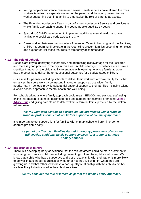- Young people's substance misuse and sexual health services have altered the roles workers take from a separate worker for the parent and the young person to one worker supporting both in a family to emphasise the role of parents as assets.
- The Extended Adolescent Team is part of a new Adolescent Service and provides a whole family approach to supporting young people aged 11-17 years.
- Specialist CAMHS have begun to implement additional mental health resource available to social care pods across the City.
- Close working between the Homeless Prevention Team in Housing, and the Families, Children & Learning directorate in the Council to prevent families becoming homeless and support earlier those that require temporary accommodation.

#### **4.1.3 The role of schools**

Schools are key to identifying vulnerability and addressing disadvantage for their children and there is good practice in the city in this area. A child's family circumstances can have a significant impact on the child's ability to engage with learning. A whole family approach has the potential to deliver better educational outcomes for disadvantaged children.

Our aim is for partners including schools to deliver their work with a whole family focus that enhances their core work by connecting in to other support across wider family needs*.* Many schools provide substantial pastoral support to their families including taking a whole school approach to mental health and well-being.

For schools taking a whole family approach could mean SENCOs and pastoral staff using online information to signpost parents to help and support, for example promoting [Money](https://www.moneyadviceplus.org.uk/)  [Advice Plus](https://www.moneyadviceplus.org.uk/) and giving parents up to date welfare reform bulletins, provided by the welfare reform team.

#### *We will work with schools to develop on-line information with a range of frontline professionals that will further support a whole family approach.*

It is important to get support right for families with primary school children in order to address problems early.

#### *As part of our Troubled Families Earned Autonomy programme of work we will develop additional family support services for a group of targeted primary schools.*

#### **4.1.4 Importance of fathers**

There is a developing body of evidence that the role of fathers could be more prominent in improving outcomes for children including preventing children being taken into care. We know that a child who has a supportive and close relationship with their father is more likely to do well in adulthood regardless of whether or not they live with him when they are growing up, and that fathers who have a poor-quality relationship with their child's mother are less likely to be involved in their children's lives.

*We will consider the role of fathers as part of the Whole Family Approach.*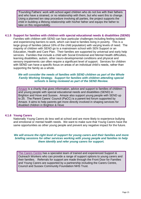'Founding Fathers' work with school aged children who do not live with their fathers and who have a strained, or no relationship with them, but who want this to change. Using a planned ten step procedure involving all parties, the project supports the child in building a lifelong relationship with his/her father and equips the father to take on this responsibility.

#### **4.1.5 Support for families with children with special educational needs & disabilities (SEND)**

Families with children with SEND can face particular challenges including feeling isolated and experiencing barriers to work, which can lead to families living in poverty. This is a large group of families (about 16% of the child population) with varying levels of need. The majority of children with SEND go to a mainstream school with SEN Support or an Education, Health and Care Plan. Their families are supported by universal and early help services. Families that include a child with Social Emotional and Mental Health difficulties, learning disabilities, autism, other neuro-developmental conditions and physical and sensory impairments can often require a significant level of support. Services for children with SEND can have a specific focus on areas of an individual child's needs, rather than supporting the family as a whole.

#### *We will consider the needs of families with SEND children as part of the Whole Family Working Strategy. Support for families with children attending special schools is being reviewed as part of the SEND Review.*

[Amaze](http://amazebrighton.org.uk/) is a charity that gives information, advice and support to families of children and young people with special educational needs and disabilities (SEND) in Brighton and Hove and Sussex. Amaze also support young people with SEND up to 25. The Parent Carers' Council (PaCC) is a parent-led forum supported by Amaze. It aims to help parents get more directly involved in shaping services for disabled children in Brighton & Hove

#### **4.1.6 Young Carers**

Nationally Young Carers do less well at school and are more likely to experience bullying and emotional or mental health needs. We want to make sure that Young Carers have the same opportunities as other young people and prevent any negative impact for the future.

#### *We will ensure the right level of support for young carers and their families and more briefing sessions for other services working with young people and families to help them identify and refer young carers for support.*

[The Carers Centre](https://www.thecarerscentre.org/our-services/young-carers/) has a specialist team of trained and experienced Support & Outreach Workers who can provide a range of support options to young carers and their families. Referrals for support are made through the Front Door for Families and Young Carers are supported by a partnership including the Carers Centre, Council and Sussex Community Foundation NHS Trust.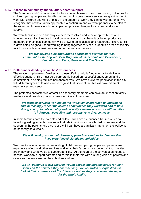#### **4.1.7 Access to community and voluntary sector support**

The Voluntary and Community sector has a valuable role to play in supporting outcomes for children, young people and families in the city. In some cases services are grant funded to work with children and will be limited in the amount of work they can do with parents. We recognise that a whole family approach is a continuum and we want partners to be alert to the wider family issues which can impact on positive changes for children and young people.

We want families to help find ways to help themselves and to develop resilience and independence. Families live in local communities and can benefit by being productive members of their local community while drawing on its assets and resources. The Council is developing neighbourhood working to bring together services in identified areas of the city to link more with local residents and other partners in the area.

#### *We will develop a neighbourhood approach to services for local communities starting with East Brighton, Moulsecoomb and Bevendean, Hangleton and Knoll, Hanover and Elm Grove*

#### **4.1.8 Better understanding of families' experiences**

The relationship between families and those offering help is fundamental for delivering effective support. This must be a partnership based on respectful engagement and a commitment to helping families help themselves. We have a diverse population in the city with different types of families and recognise that different families will have different experiences and needs.

The protected characteristic of families and family members can have an impact on family resilience and possible poor outcomes for different members.

#### *We want all services working on the whole family approach to understand and increasingly reflect the diverse communities they work with and to have strong and up to date equality and diversity awareness so work with families is informed, accessible and responsive to diverse needs.*

In some families both the parents and children will have experienced trauma which can have long lasting impacts. We know that relationships can be affected by trauma and that supporting the parents and carers of a child can have a significant impact on the wellbeing of the family as a whole.

#### *We will develop a trauma-informed approach to services for families that have experienced significant difficulties.*

We want to have a better understanding of children and young people and parent/carer experience of our and other services and what their (experts by experience) top priorities are in how and what we do to support families. At the heart of the conversation needs to be what works to support parents and carers in their role with a strong vision of parents and carers as the key asset for their children's future.

*We will continue to ask children, young people and parents/carers for their views on the services they are receiving. We will widen our questions to look at their experience of the different services they receive and the impact for the whole family.*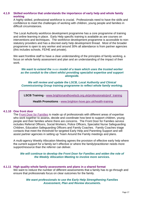#### **4.1.9 Skilled workforce that understands the importance of early help and whole family working**

A highly skilled, professional workforce is crucial. Professionals need to have the skills and confidence to meet the challenges of working with children, young people and families in difficult circumstances.

The Local Authority workforce development programme has a core programme of training and online learning in place. Early Help specific training is available as are courses on interventions and techniques. The workforce development programme is accessible to nonstatutory providers and has a discreet early help development thread. Most of the broader programme is open to any worker and around 30% all attendance is from partner agencies (this includes schools, FE/HE and private).

We want frontline staff to have a clear understanding of the principles of family working, a focus on whole family assessment and plan and an understanding of the impact of their work.

#### *We want to extend the* [Ambit](https://www.annafreud.org/what-we-do/improving-help/improving-help-training/ambit/) *model of a team which uses the trusted worker as the conduit to the client whilst providing specialist expertise and support alongside.*

*We will review and update the LSCB, Local Authority and Clinical Commissioning Group training programme to reflect whole family working.*

**LSCB Training** - [www.brightonandhovelscb.org.uk/professionals/prof\\_training](http://www.brightonandhovelscb.org.uk/professionals/prof_training/)

**Health Promotions** - [www.brighton-hove.gov.uk/health-training](http://www.brighton-hove.gov.uk/health-training)

#### **4.1.10 One front door**

The [Front Door for Families](https://www.brighton-hove.gov.uk/frontdoorforfamilies) is made up of professionals with different areas of expertise who work together to assess, decide and coordinate how best to support children, young people and their families where there are concerns. The Front Door for Families service includes Referral Officers, Social Workers, Police Officers, Specialist Nurse Safeguarding Children, Education Safeguarding Officers and Family Coaches. Family Coaches triage contacts that meet the threshold for targeted Early Help and Parenting Support and will assist partner agencies in setting up Team Around the Family meetings and plans.

A multi-agency Weekly Allocation Meeting agrees the provision of effective early help where the current support for a family isn't effective or where the family/practitioner needs more support/resource than the referrer can deliver.

*We will continue to develop the Front Door for Families and widen the role of the Weekly Allocation Meeting to involve more services.*

#### **4.1.11 High quality whole family assessments and plans in a shared format**

We want to reduce the number of different assessments that a family has to go through and ensure that professionals focus on clear outcomes for the family.

#### *We want professionals to use the Early Help Strengthening Families Assessment, Plan and Review documents.*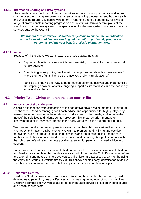#### **4.1.12 Information Sharing and data systems**

The core database used by children and adult social care, for complex family working will change over the coming two years with a re-commissioning process agreed by the Health and Wellbeing Board. Developing whole family reporting and the opportunity for a wider range of professionals reporting progress on one system will form a central plank of the specification for the new system. The specification for the new system includes access for services outside the Council.

*We want to further develop shared data systems to enable the identification and prioritisation of families needing help, monitoring of family progress and outcomes and the cost benefit analysis of interventions.*

#### **4.1.13 Impact**

Because of all the above we can measure and see that partners are:

- Supporting families in a way which feels less risky or stressful to the professional (single agency)
- Contributing to supporting families with other professionals with a clear sense of where their role fits and who else is involved and why (multi-agency)
- Families are finding their way to better outcomes for themselves and more families are stepping down out of active ongoing support as life stabilises and their capacity to cope strengthens

#### **4.2 Priority Two: Giving children the best start in life**

#### **4.2.1 Importance of the early years**

A child's experiences from conception to the age of five have a major impact on their future life chances. Good parenting, good health advice and opportunities for high quality early learning together provide the foundation all children need to be healthy and to make the most of their abilities and talents as they grow up. This is particularly important for disadvantaged children where support in the early years can have the greatest impact.

We want new and experienced parents to ensure that their children start well and are born into happy and healthy environments. We want to promote healthy living and positive behaviours such as breast-feeding, immunisations and stopping smoking and for both mothers and fathers to understand the importance of developing strong attachments with their children. We will also promote positive parenting for parents who need advice and support.

Early assessment and identification of children is crucial. The first assessments of children and families are completed by health visitors as part of the Healthy Child Programme before and after birth and at age one and two years. All children are assessed at 27 months using the Ages and Stages Questionnaire (ASQ). This check enables early identification of delays in a child's development and can initiate early intervention and additional support.

#### **4.2.2 Children's Centres**

Children's Centres provide joined-up services to strengthen families by supporting child development, parenting, healthy lifestyles and increasing the number of working families. Children's centres offer universal and targeted integrated services provided by both council and health service staff.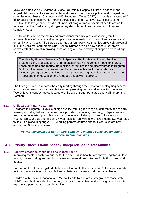Midwives employed by Brighton & Sussex University Hospitals Trust are based in the largest children's centres and run antenatal clinics. The council's public health department commissioned Sussex Community NHS Foundation Trust (SCFT) to provide an extended 0 to 19 public health community nursing service in Brighton & Hove. SCFT delivers the Healthy Child Programme, a national universal programme of specialist health advice to families from the child's birth, alongside targeted interventions for families with more complex needs.

Health Visitors act as the main lead professional for early years; assessing families, agreeing levels of service and action plans and overseeing work by children's centre staff on family action plans. The service operates at four levels: community, universal, universal plus and universal partnership plus. School Nurses are also now based in children's centres with the aim of improving team working and consistency of support across all age ranges.

The [Healthy Futures Team](http://brightonandhovelscb.org.uk/healthy-futures-team/) is a 0-19 Specialist Public Health Nursing Service (health visiting and school nursing). It uses an early intervention model to improve health outcomes and reduce inequalities for families facing disadvantage in Brighton & Hove. The team provides support for families with specific vulnerabilities, including young parents, families in emergency housing, travellers, young carers not in local authority education and refugees and asylum seekers.

The Library Service promotes the early reading through the Bookstart book gifting scheme and provides resources for parents including parenting books and access to computers. Two children's centres are co-located with libraries (South Portslade and Hollingbury and Patcham).

#### **4.2.3 Childcare and Early Learning**

Childcare in Brighton & Hove is of high quality, with a good range of different types of early learning including full and sessional care provided by private, voluntary, independent and maintained nurseries, pre-schools and childminders. Take up of free childcare for low income two year olds and all 3 and 4 year olds is high with 85% of low income two year olds taking up a place in spring 2018. Working parents of three and four year olds are now entitled to 30 hours childcare.

*We will implement our [Early Years Strategy](https://www.brighton-hove.gov.uk/sites/brighton-hove.gov.uk/files/Early%20Years%20Strategy%202017-19%20Final_.pdf) to improve outcomes for young children and their families*

## **4.3 Priority Three: Enable healthy, independent and safe families**

#### **4.3.1 Positive emotional wellbeing and mental health**

Improving mental health is a priority for the city. Public health data shows Brighton & Hove has high rates of drug and alcohol misuse and mental health issues for both children and adults.

Poor mental health amongst adults has a detrimental effect on children's lives, particularly as it can be associated with alcohol and substance misuse and domestic violence.

Children with Social, Emotional and Mental Health Needs are a key group of those with SEND, plus children with other primary needs such as autism and learning difficulties often experience poor mental health in addition.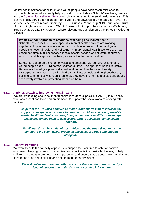Mental health services for children and young people have been recommissioned to improve both universal and early help support. This includes a Schools' Wellbeing Service and the [Community Wellbeing Service](https://www.brightonandhovewellbeing.org/) which acts as a hub for mental health referrals. This is a free NHS service for all ages from 4 years and upwards in Brighton and Hove. The service is delivered in partnership by [HERE,](http://www.hereweare.org.uk/) [Sussex Partnership NHS Foundation Trust,](http://www.sussexpartnership.nhs.uk/) [MIND in Brighton and Hove](http://www.mindcharity.co.uk/) and [YMCA DownsLink Group.](http://www.ymcadlg.org/) The Community Well-being Service enables a family approach where relevant and complements the Schools Wellbeing Service.

**Whole School Approach to emotional wellbeing and mental health** Schools, the Council, NHS and specialist mental health services are working together to implement a whole school approach to improve children and young people's emotional health and wellbeing. Primary Mental Health Workers are now based part-time in all secondary schools, special schools and clusters of primary schools. and this approach is being extended to further education.

Safety Net support the mental, physical and emotional wellbeing of children and young people aged 8 – 13 across Brighton & Hove. The approach uses Protective Behaviours based group and individual work to build resilience and safety strategies. Safety Net works with children, families, schools and neighbourhoods, building communities where children know they have the right to feel safe and adults are actively involved in protecting them from harm.

#### **4.3.2 Ambit approach to improving mental health**

We are embedding additional mental health resources (Specialist CAMHS) in our social work adolescent pod to use an ambit model to support the social workers working with families.

*As part of the Troubled Families Earned Autonomy we plan to increase the support from specialist workers for adult and children and young people's mental health for family coaches, to impact on the most difficult to engage clients and enable them to access appropriate specialist mental health support.*

*We will use the* [Ambit](https://www.annafreud.org/what-we-do/improving-help/improving-help-training/ambit/) *model of team which uses the trusted worker as the conduit to the client whilst providing specialist expertise and support alongside.*

#### **4.3.3 Positive Parenting**

We want to build the capacity of parents to support their children to achieve positive outcomes. Helping parents to be resilient and effective is the most effective way to help children. We want to promote positive parenting and ensure that parents have the skills and confidence to be self-sufficient and able to manage family issues.

*We will review our parenting offer to ensure that we offer parents the right level of support and make the most of on-line information.*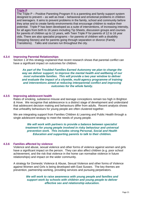#### **[Triple P](https://www.brighton-hove.gov.uk/content/children-and-education/childcare-and-family-support/triple-p-courses-and-talks)**

The Triple P – Positive Parenting Program ® is a parenting and family support system designed to prevent – as well as treat – behavioral and emotional problems in children and teenagers. It aims to prevent problems in the family, school and community before they arise and to create family environments that encourage children to realize their potential. Triple P has been developed as a suite of interventions, of increasing intensity, for all ages from birth to 16 years including Tip Sheets, discussion groups and courses for parents of children up to 12 years, with Teen Triple P for parents of 12 to 16 year olds. There are also specialist programs – for parents of children with a disability (Stepping Stones) and for parents going through separation or divorce (Family Transitions). Talks and courses run throughout the city.

#### **4.3.4 Improving Parental Relationships**

Section 1 of this strategy explained that recent research shows that parental conflict can have a significant impact on outcomes for children.

*As part of the Troubled Families Earned Autonomy we plan to change the way we deliver support; to improve the mental health and wellbeing of our most vulnerable families. This will provide a two year window to deliver and evaluate the impact of a citywide, multi-agency programme of training and interventions aimed at reducing interparental conflict and improving outcomes for the whole family.*

#### **4.3.5 Improving adolescent health**

Rates of smoking, substance misuse and teenage conceptions remain too high in Brighton & Hove. We recognise that adolescence is a distinct stage of development and understand that adolescent decision making and behaviours differ from adults. Recent analysis shows that unhealthy behaviours for young people are often clustered together.

We are integrating support from Families Children & Learning and Public Health through a single adolescent strategy to meet the needs of young people.

> *We will work with partners to provide a balance between specialist treatment for young people involved in risky behaviour and universal prevention work. This includes strong Personal, Social and Health Education and supporting parents to talk to their children.*

#### **4.3.6 Families affected by violence**

Violence and abuse, sexual violence and other forms of violence against women and girls have a significant impact on the person. They can also affect children (e.g. poor school achievement, and the risk that violence in the home can normalise violence in future relationships) and impact on the wider community.

A strategy for Domestic Violence & Abuse, Sexual Violence and other forms of Violence against Women and Girls is being developed with East Sussex. The key themes are prevention, partnership working, providing services and pursuing perpetrators.

> *We will work to raise awareness with young people and families and support work by schools with children and young people to deliver effective sex and relationship education.*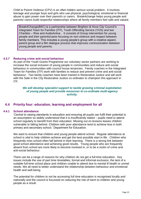Child to Parent Violence (CPV) is an often hidden serious social problem. It involves teenage and younger boys and girls who use physical, psychological, emotional or financial abuse to gain power over their parent/s or carers. Break4change helps young people and parents/ carers build respectful relationships where all family members feel safe and valued.

Break4Change(B4C) is a partnership between Brighton & Hove City Council's Integrated Team for Families (ITF), Youth Offending Service (YOS) and two Charities – Rise and AudioActive.. It consists of Group intervention for young people and their parents/cares focusing on non-violence and respect between family members. This includes a young people's group with a creative aspect, parent group and a film dialogue process that improves communication between young people and parents.

#### **4.3.7 Reducing crime anti-social behaviour**

As part of the Youth Grants Programme our voluntary sector partners are working to increase the social inclusion of young people in communities and reduce anti-social behaviour in communities with council house tenancies. Family coaches in the Integrated Team for Families (ITF) work with families to reduce and prevent crime and anti-social behaviour. Two family coaches have been trained in Restorative Justice and will work with the Safe in the City Restorative Justice co-ordinator to champion this approach in ITF.

#### *We will develop specialist support to tackle growing criminal exploitation of young people and provide resources to co-ordinate multi-agency activity.*

#### **4.4 Priority four: education, learning and employment for all**

#### **4.4.1 School attendance**

'Central to raising standards in education and ensuring all pupils can fulfil their potential is an assumption so widely understood that it is insufficiently stated – pupils need to attend school regularly to benefit from their education. Missing out on lessons leaves children vulnerable to falling behind. Children with poor attendance tend to achieve less in both primary and secondary school.' Department for Education.

We want to ensure that children and young people attend school. Regular attendance at school is vital to help children achieve and get the best possible start in life. Children who frequently miss school often fall behind in their learning. There is a strong link between good school attendance and achieving good results. Young people who are frequently absent from school are more likely to become involved in, or to be a victim of crime and anti-social behaviour.

There can be a range of reasons for why children do not get a full time education. Key issues include the use of part time timetables, formal and informal exclusion, the lack of a suitable full-time school place and children unable to attend due to mental ill health or unmet needs. We all need to better understand the relationship between behaviour and emotional health and well-being.

The potential for children to not be accessing full time education is recognised locally and nationally and the council is focussed on reducing the risk of harm to children and young people as a result.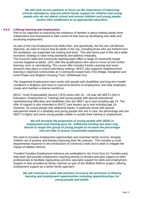*We will work across partners to focus on the importance of improving schools attendance, improve whole family support for children and young people who do not attend school and ensure children and young people receive their entitlement to an appropriate education.*

#### **4.4.2 Lifelong learning and employment**

Part of our approach to improving the resilience of families is about making adults more independent and empowered to take control of their lives by developing new skills and accessing employment.

As part of the City Employment and Skills Plan, and specifically, the No-one Left Behind objective, we want to ensure that all adults in the city, including those who are furthest from the workplace, are supported into training and work. This also forms part of the city's wider economic strategy to raise living standards and address inequality.

The Council's adult and community learning team offers a range of community based courses targeted at adults (19+) with few qualifications who want to move on into further learning, work or volunteering. The course offer includes Family Learning and some sessions take place in school and library settings. BHCC also supports neighbourhood learning in deprived communities at 3 community based hubs (The Bridge, Hangleton and Knoll Project and Brighton Housing Trust / Whitehawk Inn).

The Supported Employment team works with people with disabilities and long term health conditions in Brighton and Hove to overcome barriers to employment, and help employers create and maintain a diverse workforce.

BHCC Youth Employability Service (YES) works with 16 – 18 year old NEETs (Not in Education, Employment or Training) and young people with special educational needs/learning difficulties and disabilities who are NEET up to and including age 24. The offer of support is also extended to BHCC care leavers up to and including age 24. However, for young people with additional needs, in particular those with special educational needs or a disability and young people who are in care, the percentage who are NEET is higher and some young people unable to sustain their training or employment.

#### *We will increase the proportion of young people with SEND in employment and training post 19. Additional funding has been ring fenced to target this group of young people to increase the percentage who are able to access sustainable employment.*

We want to increase employment opportunities and maximise family income, bringing children out of poverty and thereby improving their life chances. This includes a cross departmental response to the introduction of Universal Credit and to seek to mitigate the impact of welfare reforms.

Troubled Families Employment Advisors are embedded in the Front Door for Families early help team and provide employment coaching directly to families and peer support to other professionals to facilitate signposting and less specialist support for skills and employment. Support is also provided by family coaches as part of the Welfare Reform project, offering employment support as a whole family approach.

#### We will continue to work with partners to ensure the provision of lifelong *learning and employment opportunities including apprenticeships for young people and adults.*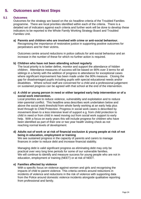## **5. Outcomes and Next Steps**

#### **5.1 Outcomes**

Outcomes for the strategy are based on the six headline criteria of the Troubled Families programme. There are local priorities identified within each of the criteria. There is a detailed set of indicators against each criteria and further work will be done to develop these indicators to be reported to the Whole Family Working Strategy Board and Troubled Families Unit.

#### **a) Parents and children who are involved with crime or anti-social behaviour.** Recognising the importance of restorative justice in supporting positive outcomes for perpetrators and for their victims.

Outcomes centre around reductions in police callouts for anti-social behaviour and an increase in the number of these for which no further action is required.

#### **b) Children who have not been attending school regularly**

The local priority is to better define, monitor and support the attendance of hidden children. Attendance measures of success will be based on 90% over 3 terms for all siblings in a family with the addition of progress to attendance for exceptional cases where significant improvement has been made under the 90% measure. Closing the gap for disadvantaged pupils including pupils with special educational needs and/or disabilities . Where school staff are concerned for a child and a professional judgement on sustained progress can be agreed with that school at the end of the intervention.

#### **c) A child or young person in need or either targeted early help intervention or of a social work intervention.**

Local priorities are to reduce violence, vulnerability and exploitation and to reduce inter-parental conflict. This headline area describes work undertaken below and above the social work threshold from whole family working at an early help plus level through to Child Protection. Progress in social work cases is described by movement down to a less intensive level of support e.g. from child protection to child in need or from child in need moving out from social work support to early help. With a focus on early years this will include progress for children who have been identified as part of their one or two year health visiting check as not reaching normal levels of development.

#### **d) Adults out of work or at risk of financial exclusion & young people at risk of not being in education, employment or training**

We see sustained progress in the capacity of parents and carers to manage finances in order to reduce debt and increase financial stability.

Managing debt is valid significant progress as eliminating debt may only be practical over very long time periods for some of our vulnerable families. We will continue to identify and measure success for young people who are not in education, employment or training (NEET) or at risk of NEET.

#### **e) Families affected by violence**

With a specific focus on violence against women and girls and recognising the impacts of child to parent violence. This criteria centres around reductions in incidents of violence and reductions in the risk of violence with supporting data from the Police around domestic violence incidents alongside qualitative reporting from professional and family.